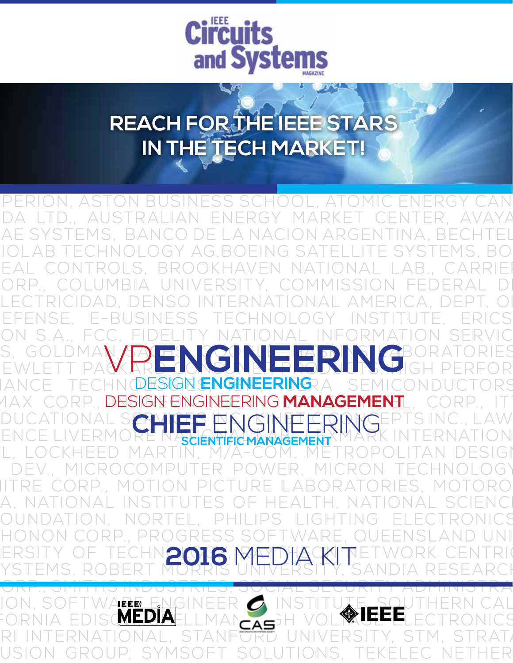

## **REACH FOR THE IEEE STARS IN THE TECH MARKET!**

بعجمته

AEGIS LIGHTWAVE, AIR FORCE INSTITUTE OF TECHNOLOGY, PERION, ASTON BUSINESS SCHOOL, ATOMIC ENERGY CAN DA LTD., AUSTRALIAN ENERGY MARKET CENTER, AVAYA AE SYSTEMS, BANCO DE LA NACION ARGENTINA, BECHTEL BIOLAB TECHNOLOGY AG,BOEING SATELLITE SYSTEMS, BO-EAL CONTROLS, BROOKHAVEN NATIONAL LAB., CARRIEI ORP., COLUMBIA UNIVERSITY, COMMISSION FEDERAL DI LECTRICIDAD, DENSO INTERNATIONAL AMERICA, DEPT. O EFENSE, E-BUSINESS TECHNOLOGY INSTITUTE, ERICS ON S.A., FCC, FIDELITY NATIONAL INFORMATION SERVIC S, GOLDMAN AD EN CONTRI EDINTER DE RATORIES EWLETT PACKARD CONSUMER PODUTS, HIGH PERFOR IANCE TECHNOLLSIGHE<mark>ngineering</mark>ra semiconductors 1AX CORP., **DESIGN ENGINEERING MANAGEMENT**L, CORP., ITT DUCATIONAL S**ERVICE PRICINE FRIME**TIONS. LAW DUCATIONAL S**CHIEF ENGINEERING**EPTS INC., LAW<br>ENCE LIVERMORE NASCENTIFICMANAGEMENT L, LOCKHEED MARTIN, M/A-COM, METROPOLITAN DESIGI & DEV., MICROCOMPUTER POWER, MICRON TECHNOLOGY, MITRE CORP., MOTION PICTURE LABORATORIES, MOTORO-A, NATIONAL INSTITUTES OF HEALTH, NATIONAL SCIENCI OUNDATION, NORTEL, PHILIPS LIGHTING ELECTRONICS HONON CORP., PROGRESS SOFTWARE, QUEENSLAND UNI ERSITY OF TECHNOLOG, MATHACKITETWORK CENTRIC YSTEMS, ROBERT MORRIS UNIVERSITY, 'SANDIA RESEARCH CORP., SMITHS INDUSTRIES, SOCIAL SECURITY ADMINISTRA-ION, SOFTWARE ENGINEER ON INSTITUTE, SOUTHERN CAL FORNIA EDISO<mark>melia</mark>ellman<sub>cas</sub>h vol**ykueel**ectronics RI INTERNATIONAL, STANF<del>ord</del> UNIVERSITY, STM, STRATA USION GROUP, SYMSOFT SOLUTIONS, TEKELEC NETHER VP**ENGINEERING** DESIGN **ENGINEERING SCIENTIFIC MANAGEMENT 2016** MEDIA KIT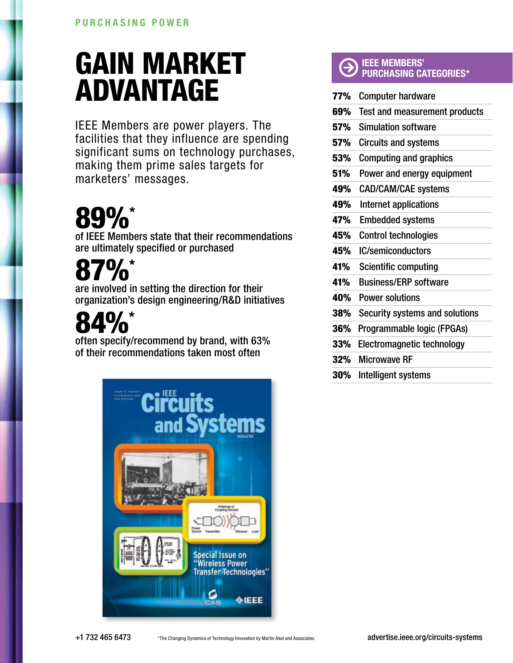## GAIN MARKET ADVANTAGE

IEEE Members are power players. The facilities that they influence are spending significant sums on technology purchases, making them prime sales targets for marketers' messages.

# 89%\*

of IEEE Members state that their recommendations are ultimately specified or purchased

# 87%\*

are involved in setting the direction for their organization's design engineering/R&D initiatives

# 4%\*

often specify/recommend by brand, with 63% of their recommendations taken most often



#### IEEE MEMBERS' PURCHASING CATEGORIES\*

| 77% | <b>Computer hardware</b>             |
|-----|--------------------------------------|
| 69% | <b>Test and measurement products</b> |
| 57% | <b>Simulation software</b>           |
| 57% | <b>Circuits and systems</b>          |
| 53% | <b>Computing and graphics</b>        |
| 51% | Power and energy equipment           |
| 49% | <b>CAD/CAM/CAE systems</b>           |
| 49% | Internet applications                |
| 47% | <b>Embedded systems</b>              |
| 45% | <b>Control technologies</b>          |
| 45% | <b>IC/semiconductors</b>             |
| 41% | <b>Scientific computing</b>          |
| 41% | <b>Business/ERP software</b>         |
| 40% | <b>Power solutions</b>               |
| 38% | Security systems and solutions       |
| 36% | Programmable logic (FPGAs)           |
| 33% | Electromagnetic technology           |
| 32% | <b>Microwave RF</b>                  |
| 30% | Intelligent systems                  |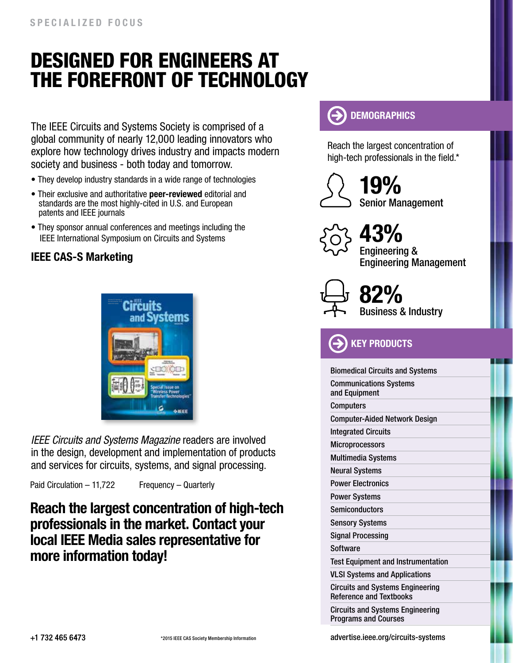## Designed for engineers at the forefront of technology

The IEEE Circuits and Systems Society is comprised of a global community of nearly 12,000 leading innovators who explore how technology drives industry and impacts modern society and business - both today and tomorrow.

- They develop industry standards in a wide range of technologies
- Their exclusive and authoritative peer-reviewed editorial and standards are the most highly-cited in U.S. and European patents and IEEE journals
- They sponsor annual conferences and meetings including the IEEE International Symposium on Circuits and Systems

### IEEE CAS-S Marketing



*IEEE Circuits and Systems Magazine* readers are involved in the design, development and implementation of products and services for circuits, systems, and signal processing.

Paid Circulation – 11,722 Frequency – Quarterly

### Reach the largest concentration of high-tech professionals in the market. Contact your local IEEE Media sales representative for more information today!



Reach the largest concentration of high-tech professionals in the field.\*



Senior Management 19%



Engineering & Engineering Management 43%



Business & Industry 82%

**KEY PRODUCTS** 

| <b>Biomedical Circuits and Systems</b>                                    |
|---------------------------------------------------------------------------|
| <b>Communications Systems</b><br>and Equipment                            |
| <b>Computers</b>                                                          |
| <b>Computer-Aided Network Design</b>                                      |
| <b>Integrated Circuits</b>                                                |
| <b>Microprocessors</b>                                                    |
| <b>Multimedia Systems</b>                                                 |
| Neural Systems                                                            |
| <b>Power Electronics</b>                                                  |
| Power Systems                                                             |
| <b>Semiconductors</b>                                                     |
| Sensory Systems                                                           |
| <b>Signal Processing</b>                                                  |
| Software                                                                  |
| <b>Test Equipment and Instrumentation</b>                                 |
| <b>VLSI Systems and Applications</b>                                      |
| <b>Circuits and Systems Engineering</b><br><b>Reference and Textbooks</b> |
| <b>Circuits and Systems Engineering</b><br><b>Programs and Courses</b>    |
|                                                                           |